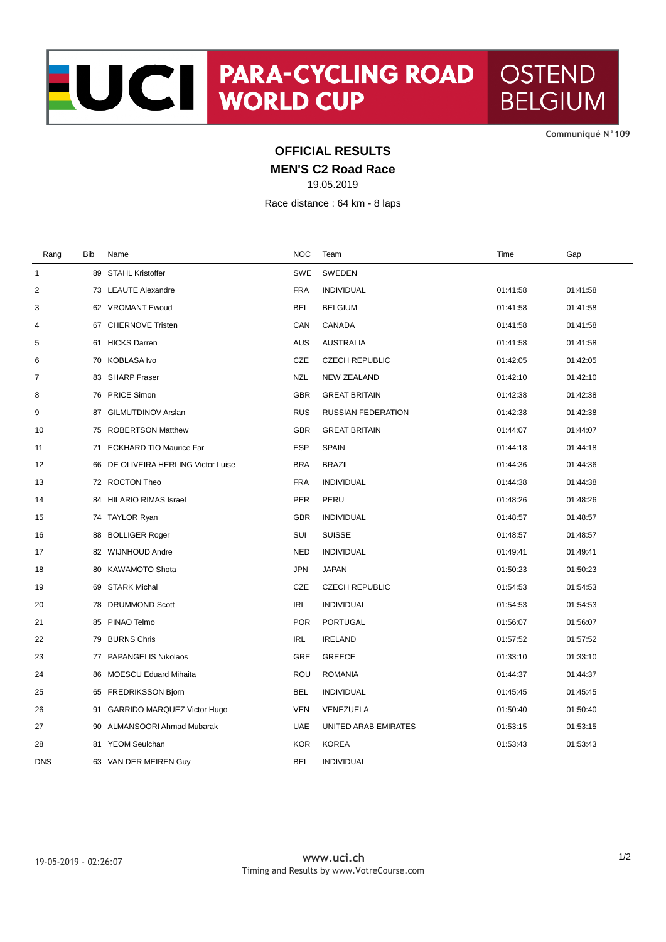**CommuniquÈ N°109**

## **OFFICIAL RESULTS**

**MEN'S C2 Road Race**

19.05.2019

Race distance : 64 km - 8 laps

| Rang         | <b>Bib</b> | Name                                | <b>NOC</b> | Team                      | Time     | Gap      |
|--------------|------------|-------------------------------------|------------|---------------------------|----------|----------|
| $\mathbf{1}$ |            | 89 STAHL Kristoffer                 | SWE        | SWEDEN                    |          |          |
| 2            |            | 73 LEAUTE Alexandre                 | <b>FRA</b> | <b>INDIVIDUAL</b>         | 01:41:58 | 01:41:58 |
| 3            |            | 62 VROMANT Ewoud                    | BEL        | <b>BELGIUM</b>            | 01:41:58 | 01:41:58 |
| 4            |            | 67 CHERNOVE Tristen                 | CAN        | CANADA                    | 01:41:58 | 01:41:58 |
| 5            | 61         | <b>HICKS Darren</b>                 | AUS        | <b>AUSTRALIA</b>          | 01:41:58 | 01:41:58 |
| 6            |            | 70 KOBLASA Ivo                      | CZE        | <b>CZECH REPUBLIC</b>     | 01:42:05 | 01:42:05 |
| 7            | 83         | <b>SHARP Fraser</b>                 | <b>NZL</b> | <b>NEW ZEALAND</b>        | 01:42:10 | 01:42:10 |
| 8            |            | 76 PRICE Simon                      | <b>GBR</b> | <b>GREAT BRITAIN</b>      | 01:42:38 | 01:42:38 |
| 9            | 87         | <b>GILMUTDINOV Arslan</b>           | <b>RUS</b> | <b>RUSSIAN FEDERATION</b> | 01:42:38 | 01:42:38 |
| 10           |            | 75 ROBERTSON Matthew                | <b>GBR</b> | <b>GREAT BRITAIN</b>      | 01:44:07 | 01:44:07 |
| 11           | 71         | <b>ECKHARD TIO Maurice Far</b>      | <b>ESP</b> | <b>SPAIN</b>              | 01:44:18 | 01:44:18 |
| 12           |            | 66 DE OLIVEIRA HERLING Victor Luise | <b>BRA</b> | <b>BRAZIL</b>             | 01:44:36 | 01:44:36 |
| 13           |            | 72 ROCTON Theo                      | <b>FRA</b> | <b>INDIVIDUAL</b>         | 01:44:38 | 01:44:38 |
| 14           |            | 84 HILARIO RIMAS Israel             | <b>PER</b> | PERU                      | 01:48:26 | 01:48:26 |
| 15           |            | 74 TAYLOR Ryan                      | <b>GBR</b> | <b>INDIVIDUAL</b>         | 01:48:57 | 01:48:57 |
| 16           | 88         | <b>BOLLIGER Roger</b>               | SUI        | <b>SUISSE</b>             | 01:48:57 | 01:48:57 |
| 17           |            | 82 WIJNHOUD Andre                   | <b>NED</b> | <b>INDIVIDUAL</b>         | 01:49:41 | 01:49:41 |
| 18           |            | 80 KAWAMOTO Shota                   | <b>JPN</b> | <b>JAPAN</b>              | 01:50:23 | 01:50:23 |
| 19           | 69         | <b>STARK Michal</b>                 | CZE        | <b>CZECH REPUBLIC</b>     | 01:54:53 | 01:54:53 |
| 20           |            | 78 DRUMMOND Scott                   | <b>IRL</b> | <b>INDIVIDUAL</b>         | 01:54:53 | 01:54:53 |
| 21           | 85         | PINAO Telmo                         | <b>POR</b> | <b>PORTUGAL</b>           | 01:56:07 | 01:56:07 |
| 22           | 79         | <b>BURNS Chris</b>                  | <b>IRL</b> | <b>IRELAND</b>            | 01:57:52 | 01:57:52 |
| 23           | 77         | PAPANGELIS Nikolaos                 | GRE        | <b>GREECE</b>             | 01:33:10 | 01:33:10 |
| 24           | 86         | MOESCU Eduard Mihaita               | <b>ROU</b> | <b>ROMANIA</b>            | 01:44:37 | 01:44:37 |
| 25           | 65         | <b>FREDRIKSSON Bjorn</b>            | <b>BEL</b> | <b>INDIVIDUAL</b>         | 01:45:45 | 01:45:45 |
| 26           |            | 91 GARRIDO MARQUEZ Victor Hugo      | <b>VEN</b> | VENEZUELA                 | 01:50:40 | 01:50:40 |
| 27           | 90         | ALMANSOORI Ahmad Mubarak            | UAE        | UNITED ARAB EMIRATES      | 01:53:15 | 01:53:15 |
| 28           | 81         | <b>YEOM Seulchan</b>                | <b>KOR</b> | <b>KOREA</b>              | 01:53:43 | 01:53:43 |
| DNS          |            | 63 VAN DER MEIREN Guy               | <b>BEL</b> | <b>INDIVIDUAL</b>         |          |          |